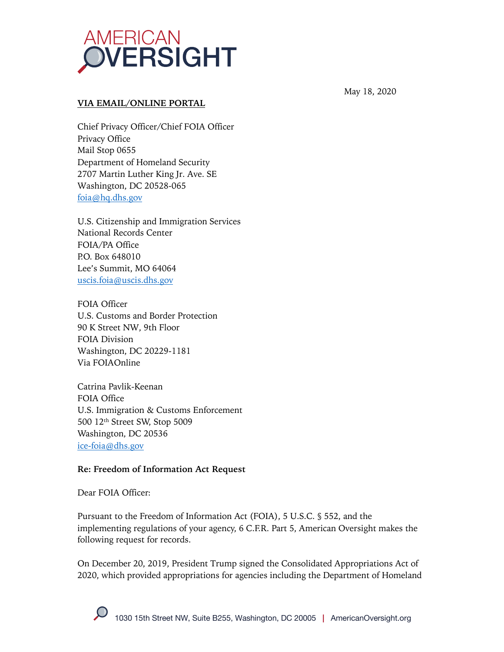

#### **VIA EMAIL/ONLINE PORTAL**

Chief Privacy Officer/Chief FOIA Officer Privacy Office Mail Stop 0655 Department of Homeland Security 2707 Martin Luther King Jr. Ave. SE Washington, DC 20528-065 foia@hq.dhs.gov

U.S. Citizenship and Immigration Services National Records Center FOIA/PA Office P.O. Box 648010 Lee's Summit, MO 64064 uscis.foia@uscis.dhs.gov

FOIA Officer U.S. Customs and Border Protection 90 K Street NW, 9th Floor FOIA Division Washington, DC 20229-1181 Via FOIAOnline

Catrina Pavlik-Keenan FOIA Office U.S. Immigration & Customs Enforcement 500 12th Street SW, Stop 5009 Washington, DC 20536 ice-foia@dhs.gov

#### **Re: Freedom of Information Act Request**

Dear FOIA Officer:

Pursuant to the Freedom of Information Act (FOIA), 5 U.S.C. § 552, and the implementing regulations of your agency, 6 C.F.R. Part 5, American Oversight makes the following request for records.

On December 20, 2019, President Trump signed the Consolidated Appropriations Act of 2020, which provided appropriations for agencies including the Department of Homeland

May 18, 2020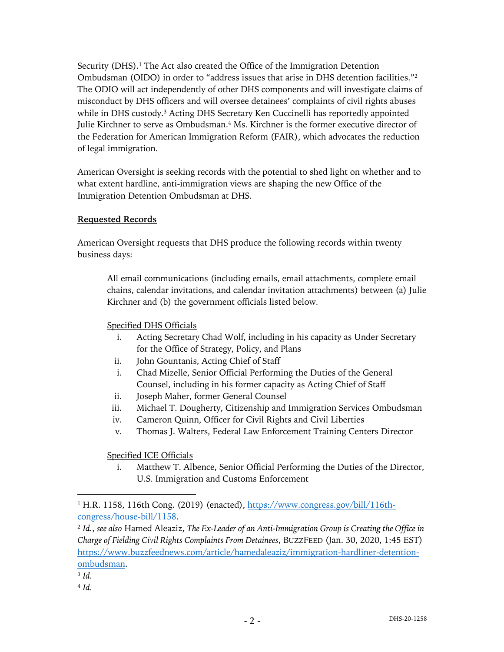Security (DHS). <sup>1</sup> The Act also created the Office of the Immigration Detention Ombudsman (OIDO) in order to "address issues that arise in DHS detention facilities."2 The ODIO will act independently of other DHS components and will investigate claims of misconduct by DHS officers and will oversee detainees' complaints of civil rights abuses while in DHS custody.<sup>3</sup> Acting DHS Secretary Ken Cuccinelli has reportedly appointed Julie Kirchner to serve as Ombudsman.<sup>4</sup> Ms. Kirchner is the former executive director of the Federation for American Immigration Reform (FAIR), which advocates the reduction of legal immigration.

American Oversight is seeking records with the potential to shed light on whether and to what extent hardline, anti-immigration views are shaping the new Office of the Immigration Detention Ombudsman at DHS.

## **Requested Records**

American Oversight requests that DHS produce the following records within twenty business days:

All email communications (including emails, email attachments, complete email chains, calendar invitations, and calendar invitation attachments) between (a) Julie Kirchner and (b) the government officials listed below.

### Specified DHS Officials

- i. Acting Secretary Chad Wolf, including in his capacity as Under Secretary for the Office of Strategy, Policy, and Plans
- ii. John Gountanis, Acting Chief of Staff
- i. Chad Mizelle, Senior Official Performing the Duties of the General Counsel, including in his former capacity as Acting Chief of Staff
- ii. Joseph Maher, former General Counsel
- iii. Michael T. Dougherty, Citizenship and Immigration Services Ombudsman
- iv. Cameron Quinn, Officer for Civil Rights and Civil Liberties
- v. Thomas J. Walters, Federal Law Enforcement Training Centers Director

Specified ICE Officials

i. Matthew T. Albence, Senior Official Performing the Duties of the Director, U.S. Immigration and Customs Enforcement

<sup>2</sup> *Id.*, *see also* Hamed Aleaziz, *The Ex-Leader of an Anti-Immigration Group is Creating the Office in Charge of Fielding Civil Rights Complaints From Detainees*, BUZZFEED (Jan. 30, 2020, 1:45 EST) https://www.buzzfeednews.com/article/hamedaleaziz/immigration-hardliner-detentionombudsman.

<sup>&</sup>lt;sup>1</sup> H.R. 1158, 116th Cong. (2019) (enacted), https://www.congress.gov/bill/116thcongress/house-bill/1158.

<sup>3</sup> *Id.*

<sup>4</sup> *Id.*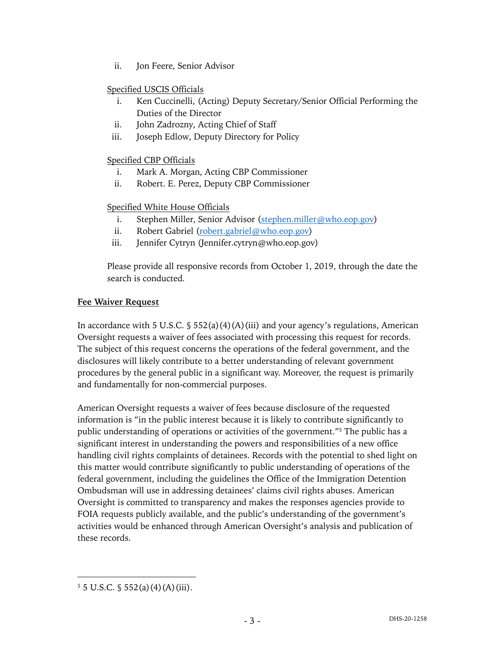ii. Jon Feere, Senior Advisor

## Specified USCIS Officials

- i. Ken Cuccinelli, (Acting) Deputy Secretary/Senior Official Performing the Duties of the Director
- ii. John Zadrozny, Acting Chief of Staff
- iii. Joseph Edlow, Deputy Directory for Policy

## Specified CBP Officials

- i. Mark A. Morgan, Acting CBP Commissioner
- ii. Robert. E. Perez, Deputy CBP Commissioner

## Specified White House Officials

- i. Stephen Miller, Senior Advisor (stephen.miller@who.eop.gov)
- ii. Robert Gabriel (robert.gabriel@who.eop.gov)
- iii. Jennifer Cytryn (Jennifer.cytryn@who.eop.gov)

Please provide all responsive records from October 1, 2019, through the date the search is conducted.

#### **Fee Waiver Request**

In accordance with 5 U.S.C.  $\frac{1}{5}$  552(a)(4)(A)(iii) and your agency's regulations, American Oversight requests a waiver of fees associated with processing this request for records. The subject of this request concerns the operations of the federal government, and the disclosures will likely contribute to a better understanding of relevant government procedures by the general public in a significant way. Moreover, the request is primarily and fundamentally for non-commercial purposes.

American Oversight requests a waiver of fees because disclosure of the requested information is "in the public interest because it is likely to contribute significantly to public understanding of operations or activities of the government."5 The public has a significant interest in understanding the powers and responsibilities of a new office handling civil rights complaints of detainees. Records with the potential to shed light on this matter would contribute significantly to public understanding of operations of the federal government, including the guidelines the Office of the Immigration Detention Ombudsman will use in addressing detainees' claims civil rights abuses. American Oversight is committed to transparency and makes the responses agencies provide to FOIA requests publicly available, and the public's understanding of the government's activities would be enhanced through American Oversight's analysis and publication of these records.

 $5 \text{ J.S.C. }$  \$ 552(a)(4)(A)(iii).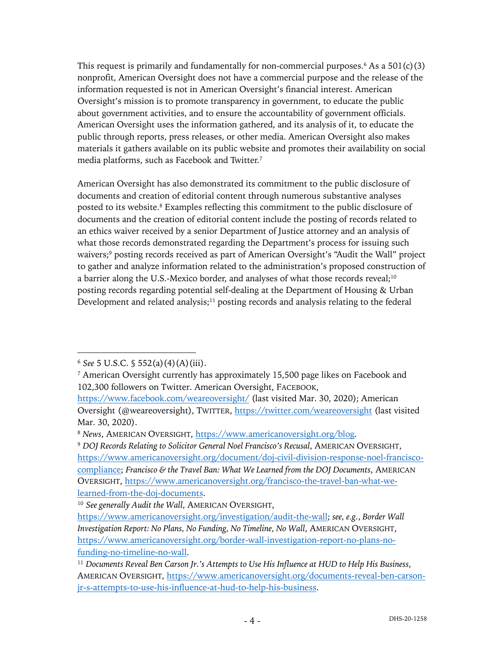This request is primarily and fundamentally for non-commercial purposes.<sup>6</sup> As a  $501(c)(3)$ nonprofit, American Oversight does not have a commercial purpose and the release of the information requested is not in American Oversight's financial interest. American Oversight's mission is to promote transparency in government, to educate the public about government activities, and to ensure the accountability of government officials. American Oversight uses the information gathered, and its analysis of it, to educate the public through reports, press releases, or other media. American Oversight also makes materials it gathers available on its public website and promotes their availability on social media platforms, such as Facebook and Twitter.7

American Oversight has also demonstrated its commitment to the public disclosure of documents and creation of editorial content through numerous substantive analyses posted to its website.<sup>8</sup> Examples reflecting this commitment to the public disclosure of documents and the creation of editorial content include the posting of records related to an ethics waiver received by a senior Department of Justice attorney and an analysis of what those records demonstrated regarding the Department's process for issuing such waivers;<sup>9</sup> posting records received as part of American Oversight's "Audit the Wall" project to gather and analyze information related to the administration's proposed construction of a barrier along the U.S.-Mexico border, and analyses of what those records reveal;<sup>10</sup> posting records regarding potential self-dealing at the Department of Housing & Urban Development and related analysis;<sup>11</sup> posting records and analysis relating to the federal

<sup>6</sup> *See* 5 U.S.C. § 552(a)(4)(A)(iii).

<sup>7</sup> American Oversight currently has approximately 15,500 page likes on Facebook and 102,300 followers on Twitter. American Oversight, FACEBOOK,

https://www.facebook.com/weareoversight/ (last visited Mar. 30, 2020); American Oversight (@weareoversight), TWITTER, https://twitter.com/weareoversight (last visited Mar. 30, 2020).

<sup>8</sup> *News*, AMERICAN OVERSIGHT, https://www.americanoversight.org/blog.

<sup>9</sup> *DOJ Records Relating to Solicitor General Noel Francisco's Recusal*, AMERICAN OVERSIGHT, https://www.americanoversight.org/document/doj-civil-division-response-noel-franciscocompliance; *Francisco & the Travel Ban: What We Learned from the DOJ Documents*, AMERICAN OVERSIGHT, https://www.americanoversight.org/francisco-the-travel-ban-what-welearned-from-the-doj-documents.

<sup>10</sup> *See generally Audit the Wall*, AMERICAN OVERSIGHT,

https://www.americanoversight.org/investigation/audit-the-wall; *see, e.g.*, *Border Wall Investigation Report: No Plans, No Funding, No Timeline, No Wall*, AMERICAN OVERSIGHT, https://www.americanoversight.org/border-wall-investigation-report-no-plans-nofunding-no-timeline-no-wall.

<sup>11</sup> *Documents Reveal Ben Carson Jr.'s Attempts to Use His Influence at HUD to Help His Business*, AMERICAN OVERSIGHT, https://www.americanoversight.org/documents-reveal-ben-carsonjr-s-attempts-to-use-his-influence-at-hud-to-help-his-business.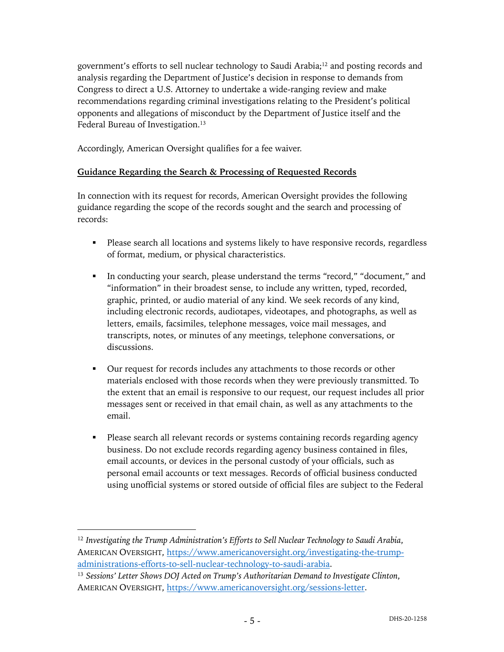government's efforts to sell nuclear technology to Saudi Arabia;12 and posting records and analysis regarding the Department of Justice's decision in response to demands from Congress to direct a U.S. Attorney to undertake a wide-ranging review and make recommendations regarding criminal investigations relating to the President's political opponents and allegations of misconduct by the Department of Justice itself and the Federal Bureau of Investigation.<sup>13</sup>

Accordingly, American Oversight qualifies for a fee waiver.

# **Guidance Regarding the Search & Processing of Requested Records**

In connection with its request for records, American Oversight provides the following guidance regarding the scope of the records sought and the search and processing of records:

- Please search all locations and systems likely to have responsive records, regardless of format, medium, or physical characteristics.
- § In conducting your search, please understand the terms "record," "document," and "information" in their broadest sense, to include any written, typed, recorded, graphic, printed, or audio material of any kind. We seek records of any kind, including electronic records, audiotapes, videotapes, and photographs, as well as letters, emails, facsimiles, telephone messages, voice mail messages, and transcripts, notes, or minutes of any meetings, telephone conversations, or discussions.
- § Our request for records includes any attachments to those records or other materials enclosed with those records when they were previously transmitted. To the extent that an email is responsive to our request, our request includes all prior messages sent or received in that email chain, as well as any attachments to the email.
- Please search all relevant records or systems containing records regarding agency business. Do not exclude records regarding agency business contained in files, email accounts, or devices in the personal custody of your officials, such as personal email accounts or text messages. Records of official business conducted using unofficial systems or stored outside of official files are subject to the Federal

<sup>12</sup> *Investigating the Trump Administration's Efforts to Sell Nuclear Technology to Saudi Arabia*, AMERICAN OVERSIGHT, https://www.americanoversight.org/investigating-the-trumpadministrations-efforts-to-sell-nuclear-technology-to-saudi-arabia.

<sup>13</sup> *Sessions' Letter Shows DOJ Acted on Trump's Authoritarian Demand to Investigate Clinton*, AMERICAN OVERSIGHT, https://www.americanoversight.org/sessions-letter.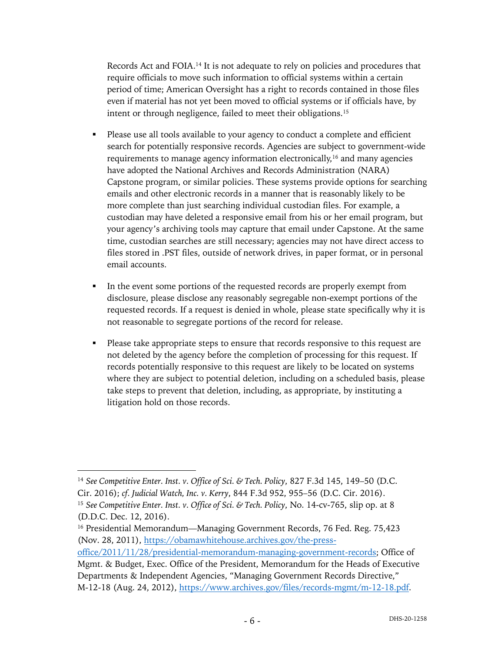Records Act and FOIA.14 It is not adequate to rely on policies and procedures that require officials to move such information to official systems within a certain period of time; American Oversight has a right to records contained in those files even if material has not yet been moved to official systems or if officials have, by intent or through negligence, failed to meet their obligations.15

- Please use all tools available to your agency to conduct a complete and efficient search for potentially responsive records. Agencies are subject to government-wide requirements to manage agency information electronically,<sup>16</sup> and many agencies have adopted the National Archives and Records Administration (NARA) Capstone program, or similar policies. These systems provide options for searching emails and other electronic records in a manner that is reasonably likely to be more complete than just searching individual custodian files. For example, a custodian may have deleted a responsive email from his or her email program, but your agency's archiving tools may capture that email under Capstone. At the same time, custodian searches are still necessary; agencies may not have direct access to files stored in .PST files, outside of network drives, in paper format, or in personal email accounts.
- In the event some portions of the requested records are properly exempt from disclosure, please disclose any reasonably segregable non-exempt portions of the requested records. If a request is denied in whole, please state specifically why it is not reasonable to segregate portions of the record for release.
- Please take appropriate steps to ensure that records responsive to this request are not deleted by the agency before the completion of processing for this request. If records potentially responsive to this request are likely to be located on systems where they are subject to potential deletion, including on a scheduled basis, please take steps to prevent that deletion, including, as appropriate, by instituting a litigation hold on those records.

<sup>14</sup> *See Competitive Enter. Inst. v. Office of Sci. & Tech. Policy*, 827 F.3d 145, 149–50 (D.C. Cir. 2016); *cf. Judicial Watch, Inc. v. Kerry*, 844 F.3d 952, 955–56 (D.C. Cir. 2016). <sup>15</sup> *See Competitive Enter. Inst. v. Office of Sci. & Tech. Policy*, No. 14-cv-765, slip op. at 8 (D.D.C. Dec. 12, 2016).

<sup>&</sup>lt;sup>16</sup> Presidential Memorandum—Managing Government Records, 76 Fed. Reg. 75,423 (Nov. 28, 2011), https://obamawhitehouse.archives.gov/the-press-

office/2011/11/28/presidential-memorandum-managing-government-records; Office of Mgmt. & Budget, Exec. Office of the President, Memorandum for the Heads of Executive Departments & Independent Agencies, "Managing Government Records Directive," M-12-18 (Aug. 24, 2012), https://www.archives.gov/files/records-mgmt/m-12-18.pdf.